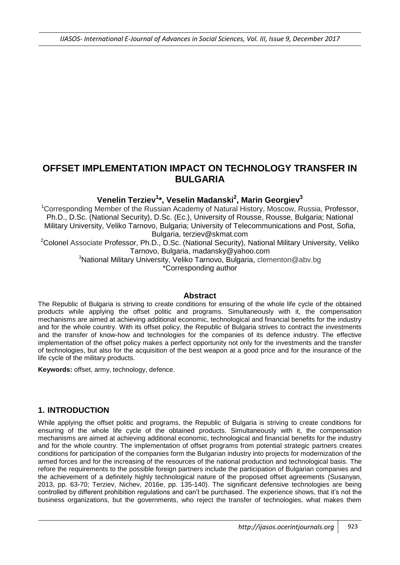# **OFFSET IMPLEMENTATION IMPACT ON TECHNOLOGY TRANSFER IN BULGARIA**

# **Venelin Terziev<sup>1</sup> \*, Veselin Madanski<sup>2</sup> , Marin Georgiev<sup>3</sup>**

<sup>1</sup>Corresponding Member of the Russian Academy of Natural History, Moscow, Russia, Professor, Ph.D., D.Sc. (National Security), D.Sc. (Ec.), University of Rousse, Rousse, Bulgaria; National Military University, Veliko Tarnovo, Bulgaria; University of Telecommunications and Post, Sofia, Bulgaria, [terziev@skmat.com](mailto:terziev@skmat.com)

<sup>2</sup>Colonel Associate Professor, Ph.D., D.Sc. (National Security), National Military University, Veliko Tarnovo, Bulgaria, madansky@yahoo.com

<sup>3</sup>National Military University, Veliko Tarnovo, Bulgaria, clementon@abv.bg \*Corresponding author

#### **Abstract**

The Republic of Bulgaria is striving to create conditions for ensuring of the whole life cycle of the obtained products while applying the offset politic and programs. Simultaneously with it, the compensation mechanisms are aimed at achieving additional economic, technological and financial benefits for the industry and for the whole country. With its offset policy, the Republic of Bulgaria strives to contract the investments and the transfer of know-how and technologies for the companies of its defence industry. The effective implementation of the offset policy makes a perfect opportunity not only for the investments and the transfer of technologies, but also for the acquisition of the best weapon at a good price and for the insurance of the life cycle of the military products.

**Keywords:** offset, army, technology, defence.

# **1. INTRODUCTION**

While applying the offset politic and programs, the Republic of Bulgaria is striving to create conditions for ensuring of the whole life cycle of the obtained products. Simultaneously with it, the compensation mechanisms are aimed at achieving additional economic, technological and financial benefits for the industry and for the whole country. The implementation of offset programs from potential strategic partners creates conditions for participation of the companies form the Bulgarian industry into projects for modernization of the armed forces and for the increasing of the resources of the national production and technological basis. The refore the requirements to the possible foreign partners include the participation of Bulgarian companies and the achievement of a definitely highly technological nature of the proposed offset agreements (Susanyan, 2013, pp. 63-70; Terziev, Nichev, 2016e, pp. 135-140). The significant defensive technologies are being controlled by different prohibition regulations and can't be purchased. The experience shows, that it's not the business organizations, but the governments, who reject the transfer of technologies, what makes them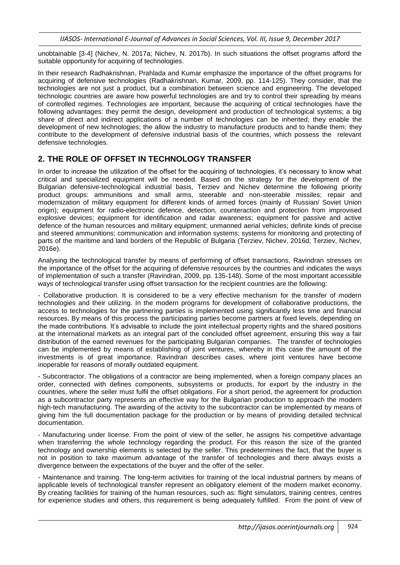unobtainable [3-4] (Nichev, N. 2017a; Nichev, N. 2017b). In such situations the offset programs afford the suitable opportunity for acquiring of technologies.

In their research [Radhakrishnan,](http://www.idsa.in/taxonomy/term/917) [Prahlada](http://www.idsa.in/taxonomy/term/916) and [Kumar](http://www.idsa.in/taxonomy/term/918) emphasize the importance of the offset programs for acquiring of defensive technologies (Radhakrishnan, Kumar, 2009, pp. 114-125). They consider, that the technologies are not just a product, but a combination between science and engineering. The developed technologic countries are aware how powerful technologies are and try to control their spreading by means of controlled regimes. Technologies are important, because the acquiring of critical technologies have the following advantages: they permit the design, development and production of technological systems; a big share of direct and indirect applications of a number of technologies can be inherited; they enable the development of new technologies; the allow the industry to manufacture products and to handle them; they contribute to the development of defensive industrial basis of the countries, which possess the relevant defensive technologies.

# **2. THE ROLE OF OFFSET IN TECHNOLOGY TRANSFER**

In order to increase the utilization of the offset for the acquiring of technologies, it's necessary to know what critical and specialized equipment will be needed. Based on the strategy for the development of the Bulgarian defensive-technological industrial basis, Terziev and Nichev determine the following priority product groups: ammunitions and small arms, steerable and non-steerable missiles; repair and modernization of military equipment for different kinds of armed forces (mainly of Russian/ Soviet Union origin); equipment for radio-electronic defence, detection, counteraction and protection from improvised explosive devices; equipment for identification and radar awareness; equipment for passive and active defence of the human resources and military equipment; unmanned aerial vehicles; definite kinds of precise and steered ammunitions; communication and information systems; systems for monitoring and protecting of parts of the maritime and land borders of the Republic of Bulgaria (Terziev, Nichev, 2016d; Terziev, Nichev, 2016e).

Analysing the technological transfer by means of performing of offset transactions, Ravindran stresses on the importance of the offset for the acquiring of defensive resources by the countries and indicates the ways of implementation of such a transfer (Ravindran, 2009, pp. 135-148). Some of the most important accessible ways of technological transfer using offset transaction for the recipient countries are the following:

- Collaborative production. It is considered to be a very effective mechanism for the transfer of modern technologies and their utilizing. In the modern programs for development of collaborative productions, the access to technologies for the partnering parties is implemented using significantly less time and financial resources. By means of this process the participating parties become partners at fixed levels, depending on the made contributions. It's advisable to include the joint intellectual property rights and the shared positions at the international markets as an integral part of the concluded offset agreement, ensuring this way a fair distribution of the earned revenues for the participating Bulgarian companies. The transfer of technologies can be implemented by means of establishing of joint ventures, whereby in this case the amount of the investments is of great importance. Ravindran describes cases, where joint ventures have become inoperable for reasons of morally outdated equipment.

- Subcontractor. The obligations of a contractor are being implemented, when a foreign company places an order, connected with defines components, subsystems or products, for export by the industry in the countries, where the seller must fulfil the offset obligations. For a short period, the agreement for production as a subcontractor party represents an effective way for the Bulgarian production to approach the modern high-tech manufacturing. The awarding of the activity to the subcontractor can be implemented by means of giving him the full documentation package for the production or by means of providing detailed technical documentation.

- Manufacturing under license. From the point of view of the seller, he assigns his competitive advantage when transferring the whole technology regarding the product. For this reason the size of the granted technology and ownership elements is selected by the seller. This predetermines the fact, that the buyer is not in position to take maximum advantage of the transfer of technologies and there always exists a divergence between the expectations of the buyer and the offer of the seller.

- Maintenance and training. The long-term activities for training of the local industrial partners by means of applicable levels of technological transfer represent an obligatory element of the modern market economy. By creating facilities for training of the human resources, such as: flight simulators, training centres, centres for experience studies and others, this requirement is being adequately fulfilled. From the point of view of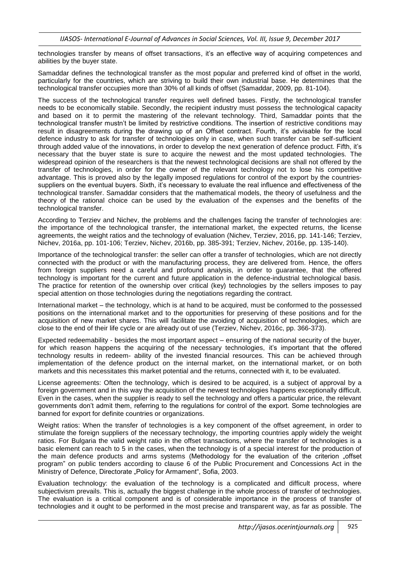technologies transfer by means of offset transactions, it's an effective way of acquiring competences and abilities by the buyer state.

Samaddar defines the technological transfer as the most popular and preferred kind of offset in the world, particularly for the countries, which are striving to build their own industrial base. He determines that the technological transfer occupies more than 30% of all kinds of offset (Samaddar, 2009, pp. 81-104).

The success of the technological transfer requires well defined bases. Firstly, the technological transfer needs to be economically stabile. Secondly, the recipient industry must possess the technological capacity and based on it to permit the mastering of the relevant technology. Third, Samaddar points that the technological transfer mustn't be limited by restrictive conditions. The insertion of restrictive conditions may result in disagreements during the drawing up of an Offset contract. Fourth, it's advisable for the local defence industry to ask for transfer of technologies only in case, when such transfer can be self-sufficient through added value of the innovations, in order to develop the next generation of defence product. Fifth, it's necessary that the buyer state is sure to acquire the newest and the most updated technologies. The widespread opinion of the researchers is that the newest technological decisions are shall not offered by the transfer of technologies, in order for the owner of the relevant technology not to lose his competitive advantage. This is proved also by the legally imposed regulations for control of the export by the countriessuppliers on the eventual buyers. Sixth, it's necessary to evaluate the real influence and effectiveness of the technological transfer. Samaddar considers that the mathematical models, the theory of usefulness and the theory of the rational choice can be used by the evaluation of the expenses and the benefits of the technological transfer.

According to Terziev and Nichev, the problems and the challenges facing the transfer of technologies are: the importance of the technological transfer, the international market, the expected returns, the license agreements, the weight ratios and the technology of evaluation (Nichev, Terziev, 2016, pp. 141-146; Terziev, Nichev, 2016a, pp. 101-106; Terziev, Nichev, 2016b, pp. 385-391; Terziev, Nichev, 2016e, pp. 135-140).

Importance of the technological transfer: the seller can offer a transfer of technologies, which are not directly connected with the product or with the manufacturing process, they are delivered from. Hence, the offers from foreign suppliers need a careful and profound analysis, in order to guarantee, that the offered technology is important for the current and future application in the defence-industrial technological basis. The practice for retention of the ownership over critical (key) technologies by the sellers imposes to pay special attention on those technologies during the negotiations regarding the contract.

International market – the technology, which is at hand to be acquired, must be conformed to the possessed positions on the international market and to the opportunities for preserving of these positions and for the acquisition of new market shares. This will facilitate the avoiding of acquisition of technologies, which are close to the end of their life cycle or are already out of use (Terziev, Nichev, 2016c, pp. 366-373).

Expected redeemability - besides the most important aspect – ensuring of the national security of the buyer, for which reason happens the acquiring of the necessary technologies, it's important that the offered technology results in redeem- ability of the invested financial resources. This can be achieved through implementation of the defence product on the internal market, on the international market, or on both markets and this necessitates this market potential and the returns, connected with it, to be evaluated.

License agreements: Often the technology, which is desired to be acquired, is a subject of approval by a foreign government and in this way the acquisition of the newest technologies happens exceptionally difficult. Even in the cases, when the supplier is ready to sell the technology and offers a particular price, the relevant governments don't admit them, referring to the regulations for control of the export. Some technologies are banned for export for definite countries or organizations.

Weight ratios: When the transfer of technologies is a key component of the offset agreement, in order to stimulate the foreign suppliers of the necessary technology, the importing countries apply widely the weight ratios. For Bulgaria the valid weight ratio in the offset transactions, where the transfer of technologies is a basic element can reach to 5 in the cases, when the technology is of a special interest for the production of the main defence products and arms systems (Methodology for the evaluation of the criterion "offset program" on public tenders according to clause 6 of the Public Procurement and Concessions Act in the Ministry of Defence, Directorate "Policy for Armament", Sofia, 2003.

Evaluation technology: the evaluation of the technology is a complicated and difficult process, where subjectivism prevails. This is, actually the biggest challenge in the whole process of transfer of technologies. The evaluation is a critical component and is of considerable importance in the process of transfer of technologies and it ought to be performed in the most precise and transparent way, as far as possible. The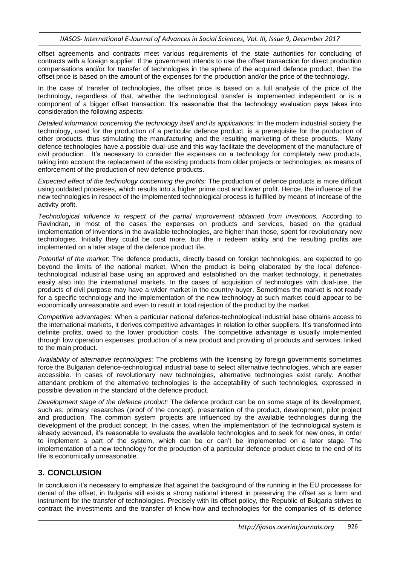offset agreements and contracts meet various requirements of the state authorities for concluding of contracts with a foreign supplier. If the government intends to use the offset transaction for direct production compensations and/or for transfer of technologies in the sphere of the acquired defence product, then the offset price is based on the amount of the expenses for the production and/or the price of the technology.

In the case of transfer of technologies, the offset price is based on a full analysis of the price of the technology, regardless of that, whether the technological transfer is implemented independent or is a component of a bigger offset transaction. It's reasonable that the technology evaluation pays takes into consideration the following aspects:

*Detailed information concerning the technology itself and its applications:* In the modern industrial society the technology, used for the production of a particular defence product, is a prerequisite for the production of other products, thus stimulating the manufacturing and the resulting marketing of these products. Many defence technologies have a possible dual-use and this way facilitate the development of the manufacture of civil production. It's necessary to consider the expenses on a technology for completely new products, taking into account the replacement of the existing products from older projects or technologies, as means of enforcement of the production of new defence products.

*Expected effect of the technology concerning the profits:* The production of defence products is more difficult using outdated processes, which results into a higher prime cost and lower profit. Hence, the influence of the new technologies in respect of the implemented technological process is fulfilled by means of increase of the activity profit.

*Technological influence in respect of the partial improvement obtained from inventions.* According to Ravindran, in most of the cases the expenses on products and services, based on the gradual implementation of inventions in the available technologies, are higher than those, spent for revolutionary new technologies. Initially they could be cost more, but the ir redeem ability and the resulting profits are implemented on a later stage of the defence product life.

*Potential of the market*: The defence products, directly based on foreign technologies, are expected to go beyond the limits of the national market. When the product is being elaborated by the local defencetechnological industrial base using an approved and established on the market technology, it penetrates easily also into the international markets. In the cases of acquisition of technologies with dual-use, the products of civil purpose may have a wider market in the country-buyer. Sometimes the market is not ready for a specific technology and the implementation of the new technology at such market could appear to be economically unreasonable and even to result in total rejection of the product by the market.

*Competitive advantages:* When a particular national defence-technological industrial base obtains access to the international markets, it derives competitive advantages in relation to other suppliers. It's transformed into definite profits, owed to the lower production costs. The competitive advantage is usually implemented through low operation expenses, production of a new product and providing of products and services, linked to the main product.

*Availability of alternative technologies:* The problems with the licensing by foreign governments sometimes force the Bulgarian defence-technological industrial base to select alternative technologies, which are easier accessible. In cases of revolutionary new technologies, alternative technologies exist rarely. Another attendant problem of the alternative technologies is the acceptability of such technologies, expressed in possible deviation in the standard of the defence product.

*Development stage of the defence product:* The defence product can be on some stage of its development, such as: primary researches (proof of the concept), presentation of the product, development, pilot project and production. The common system projects are influenced by the available technologies during the development of the product concept. In the cases, when the implementation of the technological system is already advanced, it's reasonable to evaluate the available technologies and to seek for new ones, in order to implement a part of the system, which can be or can't be implemented on a later stage. The implementation of a new technology for the production of a particular defence product close to the end of its life is economically unreasonable.

#### **3. CONCLUSION**

In conclusion it's necessary to emphasize that against the background of the running in the EU processes for denial of the offset, in Bulgaria still exists a strong national interest in preserving the offset as a form and instrument for the transfer of technologies. Precisely with its offset policy, the Republic of Bulgaria strives to contract the investments and the transfer of know-how and technologies for the companies of its defence